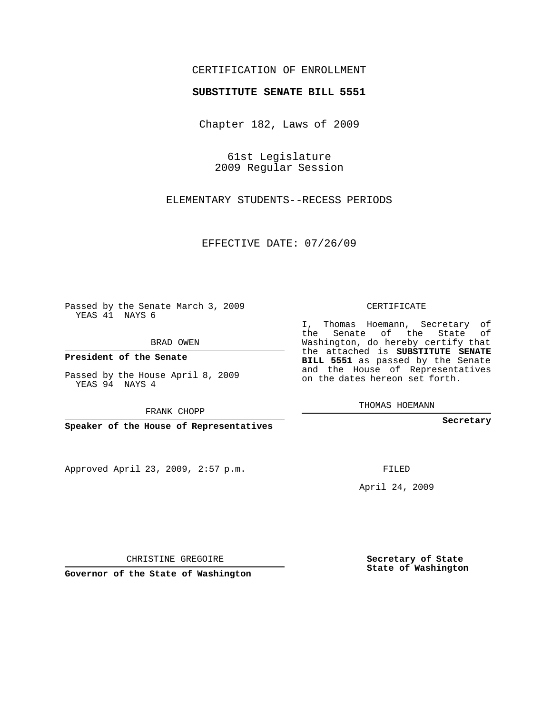## CERTIFICATION OF ENROLLMENT

## **SUBSTITUTE SENATE BILL 5551**

Chapter 182, Laws of 2009

61st Legislature 2009 Regular Session

ELEMENTARY STUDENTS--RECESS PERIODS

EFFECTIVE DATE: 07/26/09

Passed by the Senate March 3, 2009 YEAS 41 NAYS 6

BRAD OWEN

**President of the Senate**

Passed by the House April 8, 2009 YEAS 94 NAYS 4

FRANK CHOPP

**Speaker of the House of Representatives**

Approved April 23, 2009, 2:57 p.m.

CERTIFICATE

I, Thomas Hoemann, Secretary of the Senate of the State of Washington, do hereby certify that the attached is **SUBSTITUTE SENATE BILL 5551** as passed by the Senate and the House of Representatives on the dates hereon set forth.

THOMAS HOEMANN

**Secretary**

FILED

April 24, 2009

CHRISTINE GREGOIRE

**Governor of the State of Washington**

**Secretary of State State of Washington**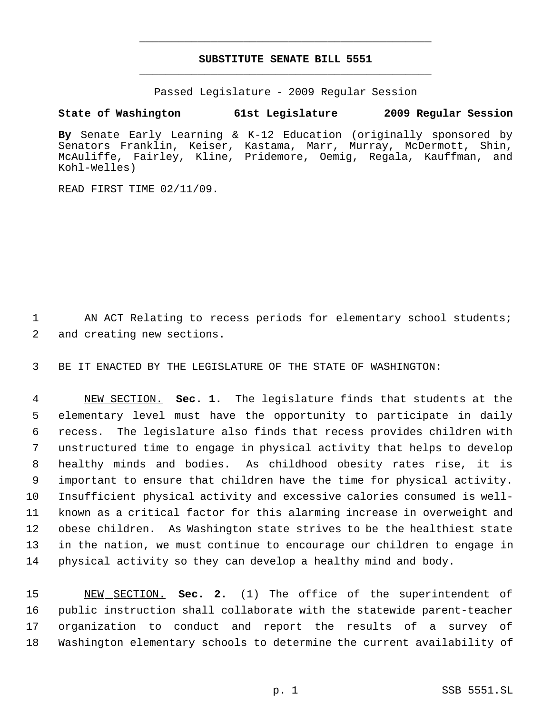## **SUBSTITUTE SENATE BILL 5551** \_\_\_\_\_\_\_\_\_\_\_\_\_\_\_\_\_\_\_\_\_\_\_\_\_\_\_\_\_\_\_\_\_\_\_\_\_\_\_\_\_\_\_\_\_

\_\_\_\_\_\_\_\_\_\_\_\_\_\_\_\_\_\_\_\_\_\_\_\_\_\_\_\_\_\_\_\_\_\_\_\_\_\_\_\_\_\_\_\_\_

Passed Legislature - 2009 Regular Session

## **State of Washington 61st Legislature 2009 Regular Session**

**By** Senate Early Learning & K-12 Education (originally sponsored by Senators Franklin, Keiser, Kastama, Marr, Murray, McDermott, Shin, McAuliffe, Fairley, Kline, Pridemore, Oemig, Regala, Kauffman, and Kohl-Welles)

READ FIRST TIME 02/11/09.

1 AN ACT Relating to recess periods for elementary school students; 2 and creating new sections.

3 BE IT ENACTED BY THE LEGISLATURE OF THE STATE OF WASHINGTON:

 NEW SECTION. **Sec. 1.** The legislature finds that students at the elementary level must have the opportunity to participate in daily recess. The legislature also finds that recess provides children with unstructured time to engage in physical activity that helps to develop healthy minds and bodies. As childhood obesity rates rise, it is important to ensure that children have the time for physical activity. Insufficient physical activity and excessive calories consumed is well- known as a critical factor for this alarming increase in overweight and obese children. As Washington state strives to be the healthiest state in the nation, we must continue to encourage our children to engage in physical activity so they can develop a healthy mind and body.

 NEW SECTION. **Sec. 2.** (1) The office of the superintendent of public instruction shall collaborate with the statewide parent-teacher organization to conduct and report the results of a survey of Washington elementary schools to determine the current availability of